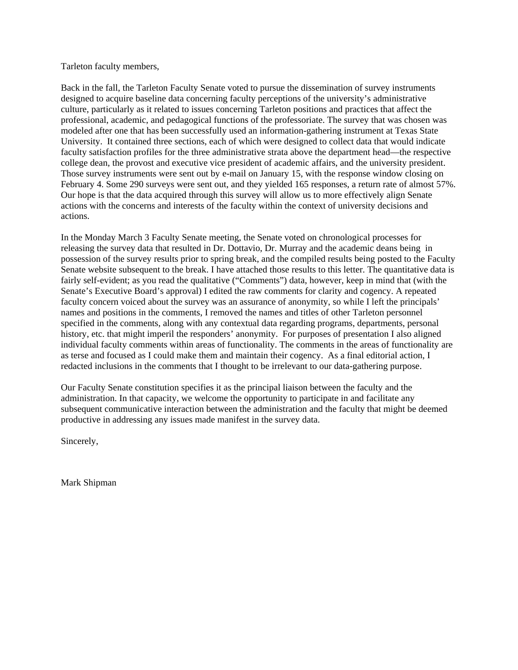#### Tarleton faculty members,

Back in the fall, the Tarleton Faculty Senate voted to pursue the dissemination of survey instruments designed to acquire baseline data concerning faculty perceptions of the university's administrative culture, particularly as it related to issues concerning Tarleton positions and practices that affect the professional, academic, and pedagogical functions of the professoriate. The survey that was chosen was modeled after one that has been successfully used an information-gathering instrument at Texas State University. It contained three sections, each of which were designed to collect data that would indicate faculty satisfaction profiles for the three administrative strata above the department head—the respective college dean, the provost and executive vice president of academic affairs, and the university president. Those survey instruments were sent out by e-mail on January 15, with the response window closing on February 4. Some 290 surveys were sent out, and they yielded 165 responses, a return rate of almost 57%. Our hope is that the data acquired through this survey will allow us to more effectively align Senate actions with the concerns and interests of the faculty within the context of university decisions and actions.

In the Monday March 3 Faculty Senate meeting, the Senate voted on chronological processes for releasing the survey data that resulted in Dr. Dottavio, Dr. Murray and the academic deans being in possession of the survey results prior to spring break, and the compiled results being posted to the Faculty Senate website subsequent to the break. I have attached those results to this letter. The quantitative data is fairly self-evident; as you read the qualitative ("Comments") data, however, keep in mind that (with the Senate's Executive Board's approval) I edited the raw comments for clarity and cogency. A repeated faculty concern voiced about the survey was an assurance of anonymity, so while I left the principals' names and positions in the comments, I removed the names and titles of other Tarleton personnel specified in the comments, along with any contextual data regarding programs, departments, personal history, etc. that might imperil the responders' anonymity. For purposes of presentation I also aligned individual faculty comments within areas of functionality. The comments in the areas of functionality are as terse and focused as I could make them and maintain their cogency. As a final editorial action, I redacted inclusions in the comments that I thought to be irrelevant to our data-gathering purpose.

Our Faculty Senate constitution specifies it as the principal liaison between the faculty and the administration. In that capacity, we welcome the opportunity to participate in and facilitate any subsequent communicative interaction between the administration and the faculty that might be deemed productive in addressing any issues made manifest in the survey data.

Sincerely,

Mark Shipman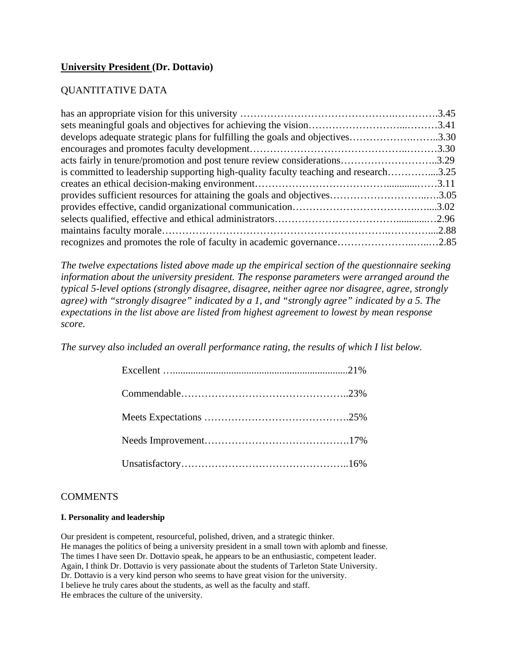# **University President (Dr. Dottavio)**

# QUANTITATIVE DATA

| develops adequate strategic plans for fulfilling the goals and objectives3.30        |  |
|--------------------------------------------------------------------------------------|--|
|                                                                                      |  |
| acts fairly in tenure/promotion and post tenure review considerations3.29            |  |
| is committed to leadership supporting high-quality faculty teaching and research3.25 |  |
|                                                                                      |  |
| provides sufficient resources for attaining the goals and objectives3.05             |  |
|                                                                                      |  |
|                                                                                      |  |
|                                                                                      |  |
| recognizes and promotes the role of faculty in academic governance2.85               |  |

*The twelve expectations listed above made up the empirical section of the questionnaire seeking information about the university president. The response parameters were arranged around the typical 5-level options (strongly disagree, disagree, neither agree nor disagree, agree, strongly agree) with "strongly disagree" indicated by a 1, and "strongly agree" indicated by a 5. The expectations in the list above are listed from highest agreement to lowest by mean response score.* 

*The survey also included an overall performance rating, the results of which I list below.* 

### **COMMENTS**

#### **I. Personality and leadership**

Our president is competent, resourceful, polished, driven, and a strategic thinker. He manages the politics of being a university president in a small town with aplomb and finesse. The times I have seen Dr. Dottavio speak, he appears to be an enthusiastic, competent leader. Again, I think Dr. Dottavio is very passionate about the students of Tarleton State University. Dr. Dottavio is a very kind person who seems to have great vision for the university. I believe he truly cares about the students, as well as the faculty and staff. He embraces the culture of the university.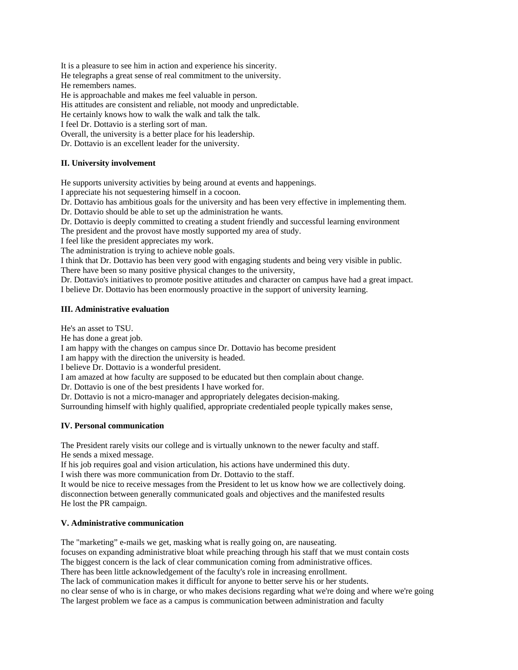It is a pleasure to see him in action and experience his sincerity.

He telegraphs a great sense of real commitment to the university. He remembers names.

He is approachable and makes me feel valuable in person.

His attitudes are consistent and reliable, not moody and unpredictable.

He certainly knows how to walk the walk and talk the talk.

I feel Dr. Dottavio is a sterling sort of man.

Overall, the university is a better place for his leadership.

Dr. Dottavio is an excellent leader for the university.

#### **II. University involvement**

He supports university activities by being around at events and happenings.

I appreciate his not sequestering himself in a cocoon.

Dr. Dottavio has ambitious goals for the university and has been very effective in implementing them.

Dr. Dottavio should be able to set up the administration he wants.

Dr. Dottavio is deeply committed to creating a student friendly and successful learning environment

The president and the provost have mostly supported my area of study.

I feel like the president appreciates my work.

The administration is trying to achieve noble goals.

I think that Dr. Dottavio has been very good with engaging students and being very visible in public.

There have been so many positive physical changes to the university,

Dr. Dottavio's initiatives to promote positive attitudes and character on campus have had a great impact. I believe Dr. Dottavio has been enormously proactive in the support of university learning.

#### **III. Administrative evaluation**

He's an asset to TSU.

He has done a great job.

I am happy with the changes on campus since Dr. Dottavio has become president

I am happy with the direction the university is headed.

I believe Dr. Dottavio is a wonderful president.

I am amazed at how faculty are supposed to be educated but then complain about change.

Dr. Dottavio is one of the best presidents I have worked for.

Dr. Dottavio is not a micro-manager and appropriately delegates decision-making.

Surrounding himself with highly qualified, appropriate credentialed people typically makes sense,

#### **IV. Personal communication**

The President rarely visits our college and is virtually unknown to the newer faculty and staff. He sends a mixed message.

If his job requires goal and vision articulation, his actions have undermined this duty.

I wish there was more communication from Dr. Dottavio to the staff.

It would be nice to receive messages from the President to let us know how we are collectively doing. disconnection between generally communicated goals and objectives and the manifested results He lost the PR campaign.

#### **V. Administrative communication**

The "marketing" e-mails we get, masking what is really going on, are nauseating.

focuses on expanding administrative bloat while preaching through his staff that we must contain costs The biggest concern is the lack of clear communication coming from administrative offices.

There has been little acknowledgement of the faculty's role in increasing enrollment.

The lack of communication makes it difficult for anyone to better serve his or her students. no clear sense of who is in charge, or who makes decisions regarding what we're doing and where we're going The largest problem we face as a campus is communication between administration and faculty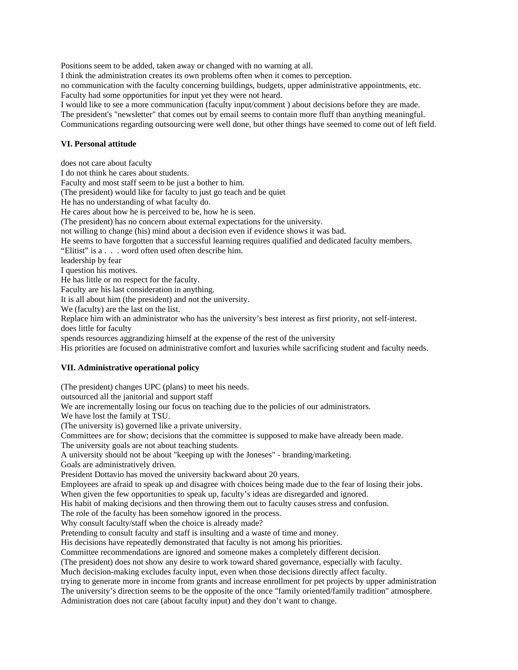Positions seem to be added, taken away or changed with no warning at all.

I think the administration creates its own problems often when it comes to perception.

no communication with the faculty concerning buildings, budgets, upper administrative appointments, etc. Faculty had some opportunities for input yet they were not heard.

I would like to see a more communication (faculty input/comment ) about decisions before they are made.

The president's "newsletter" that comes out by email seems to contain more fluff than anything meaningful.

Communications regarding outsourcing were well done, but other things have seemed to come out of left field.

#### **VI. Personal attitude**

does not care about faculty I do not think he cares about students. Faculty and most staff seem to be just a bother to him. (The president) would like for faculty to just go teach and be quiet He has no understanding of what faculty do. He cares about how he is perceived to be, how he is seen. (The president) has no concern about external expectations for the university. not willing to change (his) mind about a decision even if evidence shows it was bad. He seems to have forgotten that a successful learning requires qualified and dedicated faculty members. "Elitist" is a . . . word often used often describe him. leadership by fear I question his motives. He has little or no respect for the faculty. Faculty are his last consideration in anything. It is all about him (the president) and not the university. We (faculty) are the last on the list. Replace him with an administrator who has the university's best interest as first priority, not self-interest. does little for faculty spends resources aggrandizing himself at the expense of the rest of the university His priorities are focused on administrative comfort and luxuries while sacrificing student and faculty needs. **VII. Administrative operational policy**  (The president) changes UPC (plans) to meet his needs. outsourced all the janitorial and support staff We are incrementally losing our focus on teaching due to the policies of our administrators. We have lost the family at TSU.

(The university is) governed like a private university.

Committees are for show; decisions that the committee is supposed to make have already been made.

The university goals are not about teaching students.

A university should not be about "keeping up with the Joneses" - branding/marketing.

Goals are administratively driven.

President Dottavio has moved the university backward about 20 years.

Employees are afraid to speak up and disagree with choices being made due to the fear of losing their jobs.

When given the few opportunities to speak up, faculty's ideas are disregarded and ignored.

His habit of making decisions and then throwing them out to faculty causes stress and confusion.

The role of the faculty has been somehow ignored in the process.

Why consult faculty/staff when the choice is already made?

Pretending to consult faculty and staff is insulting and a waste of time and money.

His decisions have repeatedly demonstrated that faculty is not among his priorities.

Committee recommendations are ignored and someone makes a completely different decision.

(The president) does not show any desire to work toward shared governance, especially with faculty.

Much decision-making excludes faculty input, even when those decisions directly affect faculty.

trying to generate more in income from grants and increase enrollment for pet projects by upper administration

The university's direction seems to be the opposite of the once "family oriented/family tradition" atmosphere.

Administration does not care (about faculty input) and they don't want to change.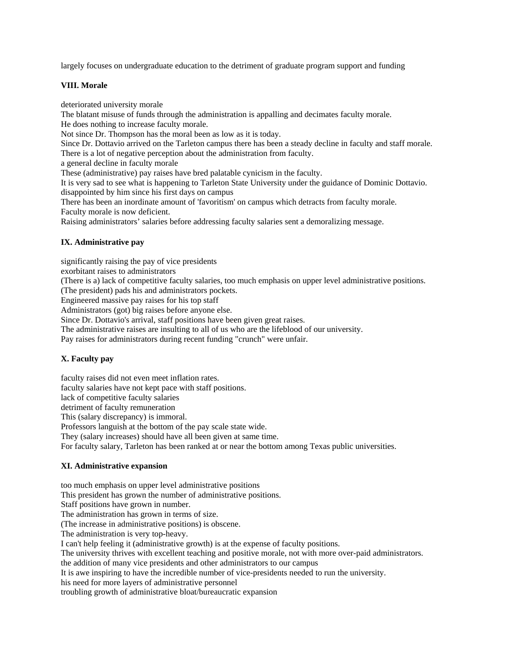largely focuses on undergraduate education to the detriment of graduate program support and funding

#### **VIII. Morale**

deteriorated university morale

The blatant misuse of funds through the administration is appalling and decimates faculty morale.

He does nothing to increase faculty morale.

Not since Dr. Thompson has the moral been as low as it is today.

Since Dr. Dottavio arrived on the Tarleton campus there has been a steady decline in faculty and staff morale. There is a lot of negative perception about the administration from faculty.

a general decline in faculty morale

These (administrative) pay raises have bred palatable cynicism in the faculty.

It is very sad to see what is happening to Tarleton State University under the guidance of Dominic Dottavio. disappointed by him since his first days on campus

There has been an inordinate amount of 'favoritism' on campus which detracts from faculty morale. Faculty morale is now deficient.

Raising administrators' salaries before addressing faculty salaries sent a demoralizing message.

### **IX. Administrative pay**

significantly raising the pay of vice presidents

exorbitant raises to administrators

(There is a) lack of competitive faculty salaries, too much emphasis on upper level administrative positions.

(The president) pads his and administrators pockets.

Engineered massive pay raises for his top staff

Administrators (got) big raises before anyone else.

Since Dr. Dottavio's arrival, staff positions have been given great raises.

The administrative raises are insulting to all of us who are the lifeblood of our university.

Pay raises for administrators during recent funding "crunch" were unfair.

#### **X. Faculty pay**

faculty raises did not even meet inflation rates.

faculty salaries have not kept pace with staff positions.

lack of competitive faculty salaries

detriment of faculty remuneration

This (salary discrepancy) is immoral.

Professors languish at the bottom of the pay scale state wide.

They (salary increases) should have all been given at same time.

For faculty salary, Tarleton has been ranked at or near the bottom among Texas public universities.

#### **XI. Administrative expansion**

too much emphasis on upper level administrative positions This president has grown the number of administrative positions. Staff positions have grown in number. The administration has grown in terms of size. (The increase in administrative positions) is obscene. The administration is very top-heavy. I can't help feeling it (administrative growth) is at the expense of faculty positions. The university thrives with excellent teaching and positive morale, not with more over-paid administrators. the addition of many vice presidents and other administrators to our campus It is awe inspiring to have the incredible number of vice-presidents needed to run the university. his need for more layers of administrative personnel troubling growth of administrative bloat/bureaucratic expansion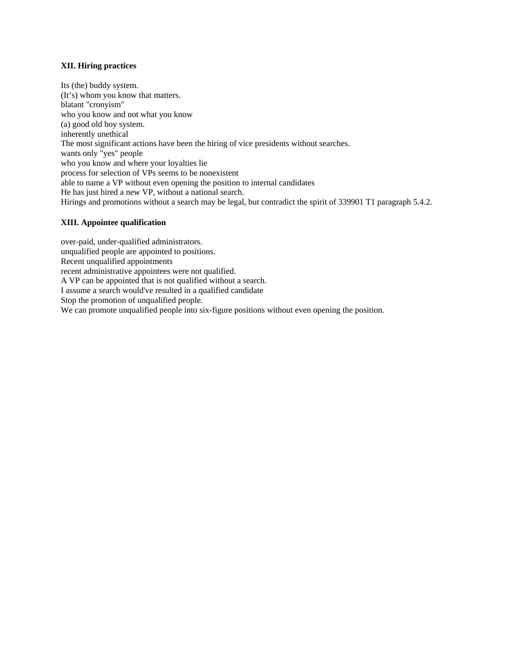#### **XII. Hiring practices**

Its (the) buddy system. (It's) whom you know that matters. blatant "cronyism" who you know and not what you know (a) good old boy system. inherently unethical The most significant actions have been the hiring of vice presidents without searches. wants only "yes" people who you know and where your loyalties lie process for selection of VPs seems to be nonexistent able to name a VP without even opening the position to internal candidates He has just hired a new VP, without a national search. Hirings and promotions without a search may be legal, but contradict the spirit of 339901 T1 paragraph 5.4.2.

#### **XIII. Appointee qualification**

over-paid, under-qualified administrators. unqualified people are appointed to positions. Recent unqualified appointments recent administrative appointees were not qualified. A VP can be appointed that is not qualified without a search. I assume a search would've resulted in a qualified candidate Stop the promotion of unqualified people. We can promote unqualified people into six-figure positions without even opening the position.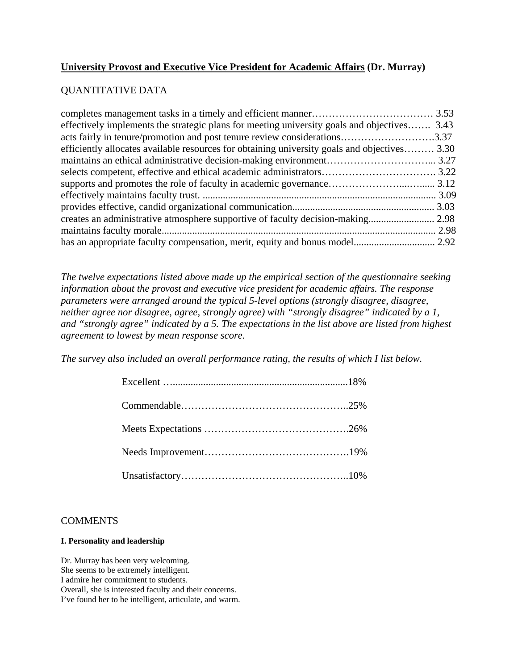# **University Provost and Executive Vice President for Academic Affairs (Dr. Murray)**

# QUANTITATIVE DATA

| effectively implements the strategic plans for meeting university goals and objectives 3.43  |  |
|----------------------------------------------------------------------------------------------|--|
| acts fairly in tenure/promotion and post tenure review considerations3.37                    |  |
| efficiently allocates available resources for obtaining university goals and objectives 3.30 |  |
|                                                                                              |  |
|                                                                                              |  |
|                                                                                              |  |
|                                                                                              |  |
|                                                                                              |  |
|                                                                                              |  |
|                                                                                              |  |
|                                                                                              |  |
|                                                                                              |  |

*The twelve expectations listed above made up the empirical section of the questionnaire seeking information about the provost and executive vice president for academic affairs. The response parameters were arranged around the typical 5-level options (strongly disagree, disagree, neither agree nor disagree, agree, strongly agree) with "strongly disagree" indicated by a 1, and "strongly agree" indicated by a 5. The expectations in the list above are listed from highest agreement to lowest by mean response score.*

*The survey also included an overall performance rating, the results of which I list below.* 

## **COMMENTS**

### **I. Personality and leadership**

Dr. Murray has been very welcoming. She seems to be extremely intelligent. I admire her commitment to students. Overall, she is interested faculty and their concerns. I've found her to be intelligent, articulate, and warm.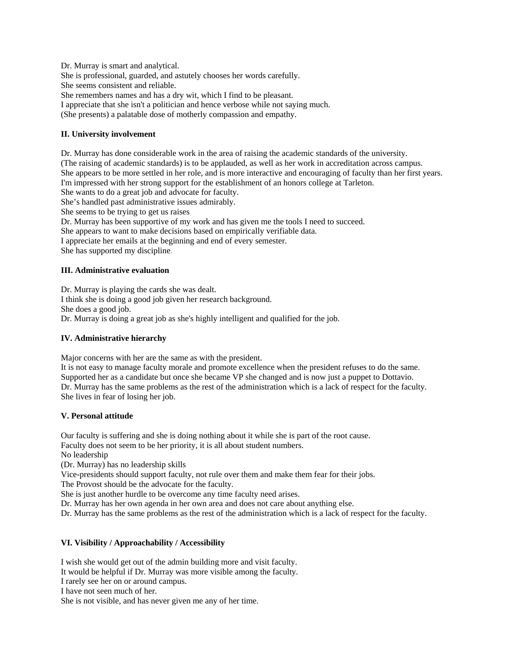Dr. Murray is smart and analytical. She is professional, guarded, and astutely chooses her words carefully. She seems consistent and reliable. She remembers names and has a dry wit, which I find to be pleasant. I appreciate that she isn't a politician and hence verbose while not saying much.

(She presents) a palatable dose of motherly compassion and empathy.

#### **II. University involvement**

Dr. Murray has done considerable work in the area of raising the academic standards of the university. (The raising of academic standards) is to be applauded, as well as her work in accreditation across campus. She appears to be more settled in her role, and is more interactive and encouraging of faculty than her first years. I'm impressed with her strong support for the establishment of an honors college at Tarleton. She wants to do a great job and advocate for faculty. She's handled past administrative issues admirably. She seems to be trying to get us raises Dr. Murray has been supportive of my work and has given me the tools I need to succeed. She appears to want to make decisions based on empirically verifiable data. I appreciate her emails at the beginning and end of every semester. She has supported my discipline.

### **III. Administrative evaluation**

Dr. Murray is playing the cards she was dealt. I think she is doing a good job given her research background. She does a good job. Dr. Murray is doing a great job as she's highly intelligent and qualified for the job.

#### **IV. Administrative hierarchy**

Major concerns with her are the same as with the president.

It is not easy to manage faculty morale and promote excellence when the president refuses to do the same. Supported her as a candidate but once she became VP she changed and is now just a puppet to Dottavio. Dr. Murray has the same problems as the rest of the administration which is a lack of respect for the faculty. She lives in fear of losing her job.

#### **V. Personal attitude**

Our faculty is suffering and she is doing nothing about it while she is part of the root cause.

Faculty does not seem to be her priority, it is all about student numbers.

No leadership

(Dr. Murray) has no leadership skills

Vice-presidents should support faculty, not rule over them and make them fear for their jobs.

The Provost should be the advocate for the faculty.

She is just another hurdle to be overcome any time faculty need arises.

Dr. Murray has her own agenda in her own area and does not care about anything else.

Dr. Murray has the same problems as the rest of the administration which is a lack of respect for the faculty.

#### **VI. Visibility / Approachability / Accessibility**

I wish she would get out of the admin building more and visit faculty.

It would be helpful if Dr. Murray was more visible among the faculty.

I rarely see her on or around campus.

I have not seen much of her.

She is not visible, and has never given me any of her time.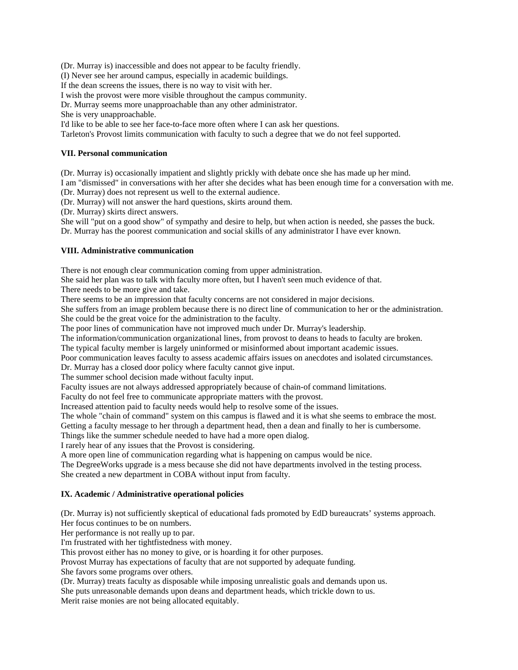(Dr. Murray is) inaccessible and does not appear to be faculty friendly.

(I) Never see her around campus, especially in academic buildings.

If the dean screens the issues, there is no way to visit with her.

I wish the provost were more visible throughout the campus community.

Dr. Murray seems more unapproachable than any other administrator.

She is very unapproachable.

I'd like to be able to see her face-to-face more often where I can ask her questions.

Tarleton's Provost limits communication with faculty to such a degree that we do not feel supported.

#### **VII. Personal communication**

(Dr. Murray is) occasionally impatient and slightly prickly with debate once she has made up her mind.

I am "dismissed" in conversations with her after she decides what has been enough time for a conversation with me.

(Dr. Murray) does not represent us well to the external audience.

(Dr. Murray) will not answer the hard questions, skirts around them.

(Dr. Murray) skirts direct answers.

She will "put on a good show" of sympathy and desire to help, but when action is needed, she passes the buck. Dr. Murray has the poorest communication and social skills of any administrator I have ever known.

#### **VIII. Administrative communication**

There is not enough clear communication coming from upper administration.

She said her plan was to talk with faculty more often, but I haven't seen much evidence of that.

There needs to be more give and take.

There seems to be an impression that faculty concerns are not considered in major decisions.

She suffers from an image problem because there is no direct line of communication to her or the administration. She could be the great voice for the administration to the faculty.

The poor lines of communication have not improved much under Dr. Murray's leadership.

The information/communication organizational lines, from provost to deans to heads to faculty are broken.

The typical faculty member is largely uninformed or misinformed about important academic issues.

Poor communication leaves faculty to assess academic affairs issues on anecdotes and isolated circumstances.

Dr. Murray has a closed door policy where faculty cannot give input.

The summer school decision made without faculty input.

Faculty issues are not always addressed appropriately because of chain-of command limitations.

Faculty do not feel free to communicate appropriate matters with the provost.

Increased attention paid to faculty needs would help to resolve some of the issues.

The whole "chain of command" system on this campus is flawed and it is what she seems to embrace the most.

Getting a faculty message to her through a department head, then a dean and finally to her is cumbersome.

Things like the summer schedule needed to have had a more open dialog.

I rarely hear of any issues that the Provost is considering.

A more open line of communication regarding what is happening on campus would be nice.

The DegreeWorks upgrade is a mess because she did not have departments involved in the testing process. She created a new department in COBA without input from faculty.

#### **IX. Academic / Administrative operational policies**

(Dr. Murray is) not sufficiently skeptical of educational fads promoted by EdD bureaucrats' systems approach. Her focus continues to be on numbers.

Her performance is not really up to par.

I'm frustrated with her tightfistedness with money.

This provost either has no money to give, or is hoarding it for other purposes.

Provost Murray has expectations of faculty that are not supported by adequate funding.

She favors some programs over others.

(Dr. Murray) treats faculty as disposable while imposing unrealistic goals and demands upon us. She puts unreasonable demands upon deans and department heads, which trickle down to us. Merit raise monies are not being allocated equitably.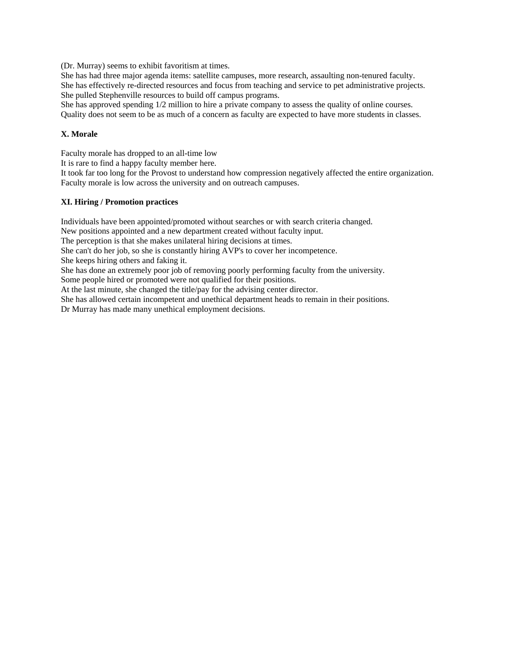(Dr. Murray) seems to exhibit favoritism at times.

She has had three major agenda items: satellite campuses, more research, assaulting non-tenured faculty. She has effectively re-directed resources and focus from teaching and service to pet administrative projects. She pulled Stephenville resources to build off campus programs.

She has approved spending 1/2 million to hire a private company to assess the quality of online courses. Quality does not seem to be as much of a concern as faculty are expected to have more students in classes.

#### **X. Morale**

Faculty morale has dropped to an all-time low

It is rare to find a happy faculty member here.

It took far too long for the Provost to understand how compression negatively affected the entire organization. Faculty morale is low across the university and on outreach campuses.

#### **XI. Hiring / Promotion practices**

Individuals have been appointed/promoted without searches or with search criteria changed. New positions appointed and a new department created without faculty input.

The perception is that she makes unilateral hiring decisions at times.

She can't do her job, so she is constantly hiring AVP's to cover her incompetence.

She keeps hiring others and faking it.

She has done an extremely poor job of removing poorly performing faculty from the university.

Some people hired or promoted were not qualified for their positions. At the last minute, she changed the title/pay for the advising center director.

She has allowed certain incompetent and unethical department heads to remain in their positions.

Dr Murray has made many unethical employment decisions.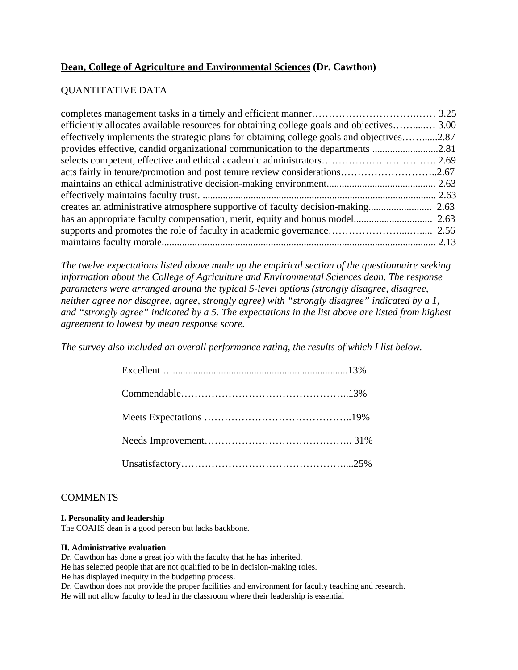# **Dean, College of Agriculture and Environmental Sciences (Dr. Cawthon)**

# QUANTITATIVE DATA

| efficiently allocates available resources for obtaining college goals and objectives 3.00 |      |
|-------------------------------------------------------------------------------------------|------|
| effectively implements the strategic plans for obtaining college goals and objectives2.87 |      |
| provides effective, candid organizational communication to the departments 2.81           |      |
|                                                                                           |      |
| acts fairly in tenure/promotion and post tenure review considerations2.67                 |      |
|                                                                                           |      |
|                                                                                           |      |
| creates an administrative atmosphere supportive of faculty decision-making                | 2.63 |
|                                                                                           |      |
|                                                                                           |      |
|                                                                                           |      |

*The twelve expectations listed above made up the empirical section of the questionnaire seeking information about the College of Agriculture and Environmental Sciences dean. The response parameters were arranged around the typical 5-level options (strongly disagree, disagree, neither agree nor disagree, agree, strongly agree) with "strongly disagree" indicated by a 1, and "strongly agree" indicated by a 5. The expectations in the list above are listed from highest agreement to lowest by mean response score.* 

*The survey also included an overall performance rating, the results of which I list below.* 

## **COMMENTS**

### **I. Personality and leadership**

The COAHS dean is a good person but lacks backbone.

#### **II. Administrative evaluation**

Dr. Cawthon has done a great job with the faculty that he has inherited.

He has selected people that are not qualified to be in decision-making roles.

He has displayed inequity in the budgeting process.

Dr. Cawthon does not provide the proper facilities and environment for faculty teaching and research.

He will not allow faculty to lead in the classroom where their leadership is essential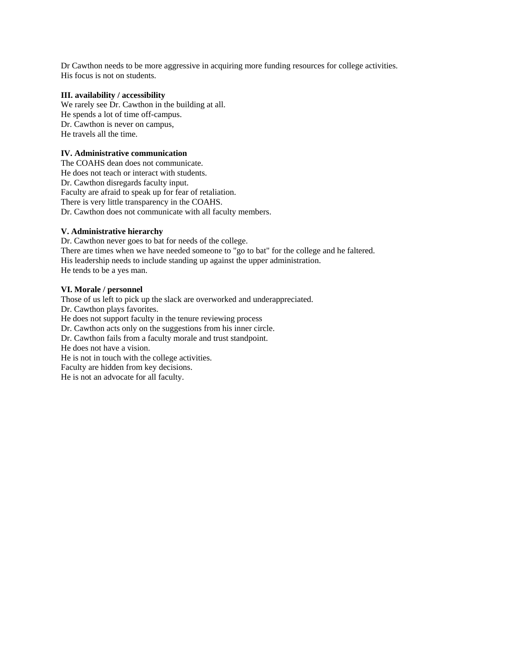Dr Cawthon needs to be more aggressive in acquiring more funding resources for college activities. His focus is not on students.

#### **III. availability / accessibility**

We rarely see Dr. Cawthon in the building at all. He spends a lot of time off-campus. Dr. Cawthon is never on campus, He travels all the time.

### **IV. Administrative communication**

The COAHS dean does not communicate. He does not teach or interact with students. Dr. Cawthon disregards faculty input. Faculty are afraid to speak up for fear of retaliation. There is very little transparency in the COAHS. Dr. Cawthon does not communicate with all faculty members.

#### **V. Administrative hierarchy**

Dr. Cawthon never goes to bat for needs of the college. There are times when we have needed someone to "go to bat" for the college and he faltered. His leadership needs to include standing up against the upper administration. He tends to be a yes man.

#### **VI. Morale / personnel**

Those of us left to pick up the slack are overworked and underappreciated. Dr. Cawthon plays favorites. He does not support faculty in the tenure reviewing process Dr. Cawthon acts only on the suggestions from his inner circle. Dr. Cawthon fails from a faculty morale and trust standpoint. He does not have a vision. He is not in touch with the college activities. Faculty are hidden from key decisions. He is not an advocate for all faculty.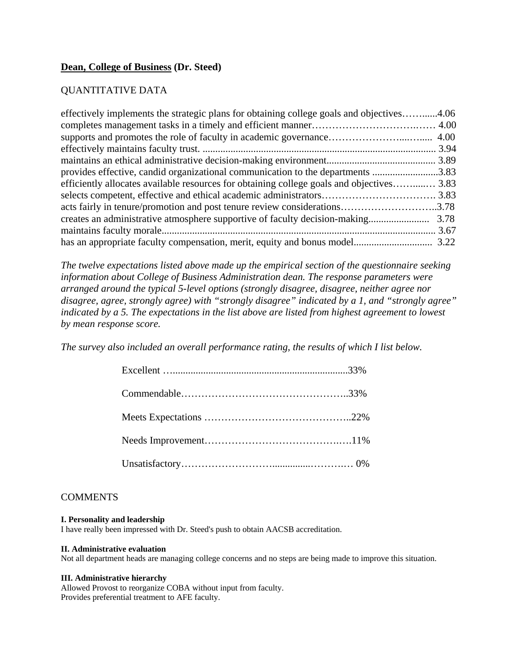## **Dean, College of Business (Dr. Steed)**

## QUANTITATIVE DATA

| effectively implements the strategic plans for obtaining college goals and objectives4.06 |  |
|-------------------------------------------------------------------------------------------|--|
|                                                                                           |  |
|                                                                                           |  |
|                                                                                           |  |
|                                                                                           |  |
| provides effective, candid organizational communication to the departments 3.83           |  |
| efficiently allocates available resources for obtaining college goals and objectives 3.83 |  |
|                                                                                           |  |
| acts fairly in tenure/promotion and post tenure review considerations3.78                 |  |
|                                                                                           |  |
|                                                                                           |  |
|                                                                                           |  |

*The twelve expectations listed above made up the empirical section of the questionnaire seeking information about College of Business Administration dean. The response parameters were arranged around the typical 5-level options (strongly disagree, disagree, neither agree nor disagree, agree, strongly agree) with "strongly disagree" indicated by a 1, and "strongly agree" indicated by a 5. The expectations in the list above are listed from highest agreement to lowest by mean response score.* 

*The survey also included an overall performance rating, the results of which I list below.* 

## **COMMENTS**

#### **I. Personality and leadership**

I have really been impressed with Dr. Steed's push to obtain AACSB accreditation.

#### **II. Administrative evaluation**

Not all department heads are managing college concerns and no steps are being made to improve this situation.

#### **III. Administrative hierarchy**

Allowed Provost to reorganize COBA without input from faculty. Provides preferential treatment to AFE faculty.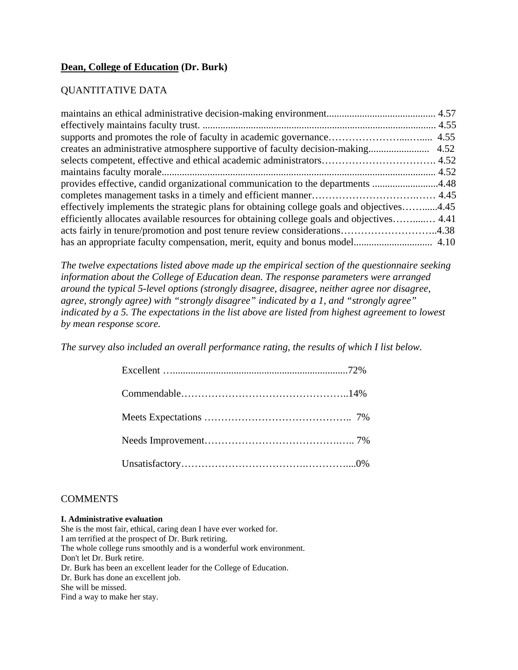# **Dean, College of Education (Dr. Burk)**

# QUANTITATIVE DATA

| provides effective, candid organizational communication to the departments 4.48           |  |
|-------------------------------------------------------------------------------------------|--|
|                                                                                           |  |
| effectively implements the strategic plans for obtaining college goals and objectives4.45 |  |
| efficiently allocates available resources for obtaining college goals and objectives 4.41 |  |
| acts fairly in tenure/promotion and post tenure review considerations4.38                 |  |
|                                                                                           |  |

*The twelve expectations listed above made up the empirical section of the questionnaire seeking information about the College of Education dean. The response parameters were arranged around the typical 5-level options (strongly disagree, disagree, neither agree nor disagree, agree, strongly agree) with "strongly disagree" indicated by a 1, and "strongly agree" indicated by a 5. The expectations in the list above are listed from highest agreement to lowest by mean response score.* 

*The survey also included an overall performance rating, the results of which I list below.* 

## **COMMENTS**

#### **I. Administrative evaluation**

She is the most fair, ethical, caring dean I have ever worked for. I am terrified at the prospect of Dr. Burk retiring. The whole college runs smoothly and is a wonderful work environment. Don't let Dr. Burk retire. Dr. Burk has been an excellent leader for the College of Education. Dr. Burk has done an excellent job. She will be missed. Find a way to make her stay.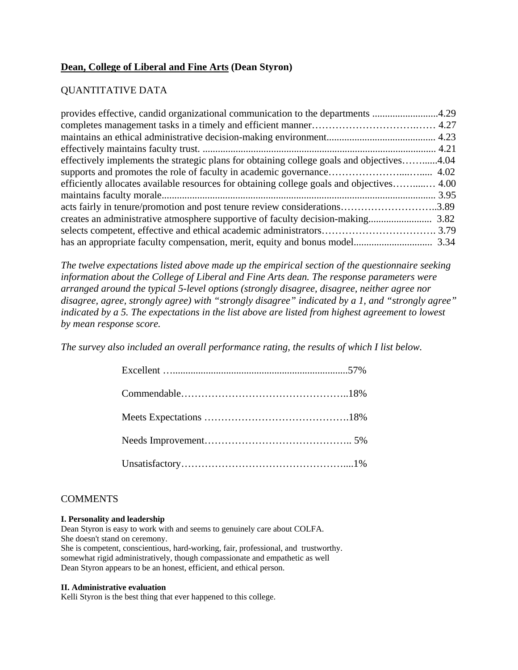# **Dean, College of Liberal and Fine Arts (Dean Styron)**

# QUANTITATIVE DATA

| provides effective, candid organizational communication to the departments 4.29           |  |
|-------------------------------------------------------------------------------------------|--|
|                                                                                           |  |
|                                                                                           |  |
|                                                                                           |  |
| effectively implements the strategic plans for obtaining college goals and objectives4.04 |  |
|                                                                                           |  |
| efficiently allocates available resources for obtaining college goals and objectives 4.00 |  |
|                                                                                           |  |
| acts fairly in tenure/promotion and post tenure review considerations3.89                 |  |
|                                                                                           |  |
|                                                                                           |  |
|                                                                                           |  |

*The twelve expectations listed above made up the empirical section of the questionnaire seeking information about the College of Liberal and Fine Arts dean. The response parameters were arranged around the typical 5-level options (strongly disagree, disagree, neither agree nor disagree, agree, strongly agree) with "strongly disagree" indicated by a 1, and "strongly agree" indicated by a 5. The expectations in the list above are listed from highest agreement to lowest by mean response score.* 

*The survey also included an overall performance rating, the results of which I list below.* 

## **COMMENTS**

#### **I. Personality and leadership**

Dean Styron is easy to work with and seems to genuinely care about COLFA. She doesn't stand on ceremony.

She is competent, conscientious, hard-working, fair, professional, and trustworthy. somewhat rigid administratively, though compassionate and empathetic as well Dean Styron appears to be an honest, efficient, and ethical person.

#### **II. Administrative evaluation**

Kelli Styron is the best thing that ever happened to this college.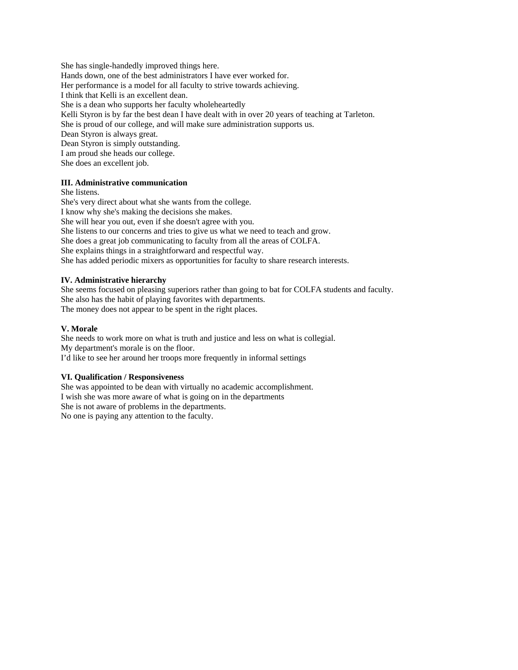She has single-handedly improved things here. Hands down, one of the best administrators I have ever worked for. Her performance is a model for all faculty to strive towards achieving. I think that Kelli is an excellent dean. She is a dean who supports her faculty wholeheartedly Kelli Styron is by far the best dean I have dealt with in over 20 years of teaching at Tarleton. She is proud of our college, and will make sure administration supports us. Dean Styron is always great. Dean Styron is simply outstanding. I am proud she heads our college. She does an excellent job.

### **III. Administrative communication**

She listens. She's very direct about what she wants from the college. I know why she's making the decisions she makes. She will hear you out, even if she doesn't agree with you. She listens to our concerns and tries to give us what we need to teach and grow. She does a great job communicating to faculty from all the areas of COLFA. She explains things in a straightforward and respectful way. She has added periodic mixers as opportunities for faculty to share research interests.

#### **IV. Administrative hierarchy**

She seems focused on pleasing superiors rather than going to bat for COLFA students and faculty. She also has the habit of playing favorites with departments. The money does not appear to be spent in the right places.

#### **V. Morale**

She needs to work more on what is truth and justice and less on what is collegial. My department's morale is on the floor. I'd like to see her around her troops more frequently in informal settings

#### **VI. Qualification / Responsiveness**

She was appointed to be dean with virtually no academic accomplishment. I wish she was more aware of what is going on in the departments She is not aware of problems in the departments. No one is paying any attention to the faculty.